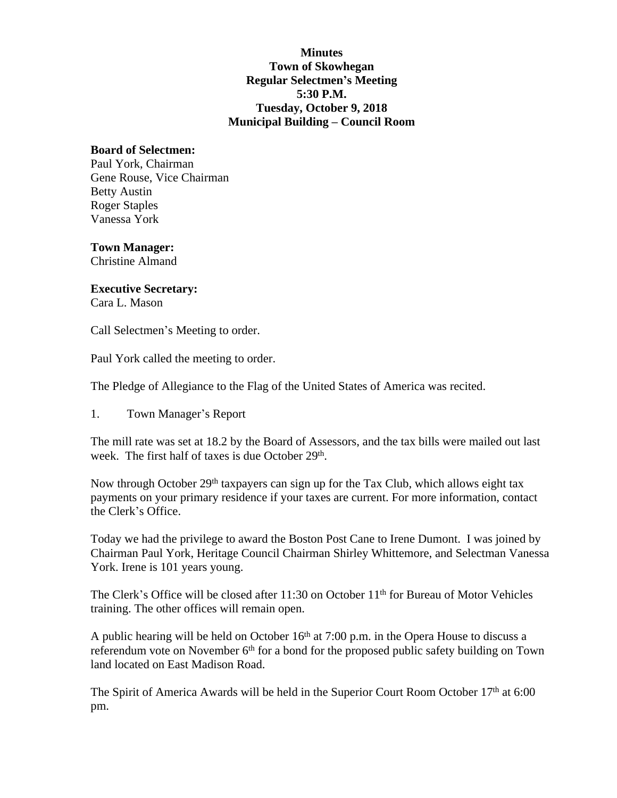### **Minutes Town of Skowhegan Regular Selectmen's Meeting 5:30 P.M. Tuesday, October 9, 2018 Municipal Building – Council Room**

#### **Board of Selectmen:**

Paul York, Chairman Gene Rouse, Vice Chairman Betty Austin Roger Staples Vanessa York

**Town Manager:** Christine Almand

# **Executive Secretary:**

Cara L. Mason

Call Selectmen's Meeting to order.

Paul York called the meeting to order.

The Pledge of Allegiance to the Flag of the United States of America was recited.

1. Town Manager's Report

The mill rate was set at 18.2 by the Board of Assessors, and the tax bills were mailed out last week. The first half of taxes is due October 29<sup>th</sup>.

Now through October 29<sup>th</sup> taxpayers can sign up for the Tax Club, which allows eight tax payments on your primary residence if your taxes are current. For more information, contact the Clerk's Office.

Today we had the privilege to award the Boston Post Cane to Irene Dumont. I was joined by Chairman Paul York, Heritage Council Chairman Shirley Whittemore, and Selectman Vanessa York. Irene is 101 years young.

The Clerk's Office will be closed after 11:30 on October 11<sup>th</sup> for Bureau of Motor Vehicles training. The other offices will remain open.

A public hearing will be held on October 16th at 7:00 p.m. in the Opera House to discuss a referendum vote on November  $6<sup>th</sup>$  for a bond for the proposed public safety building on Town land located on East Madison Road.

The Spirit of America Awards will be held in the Superior Court Room October 17<sup>th</sup> at 6:00 pm.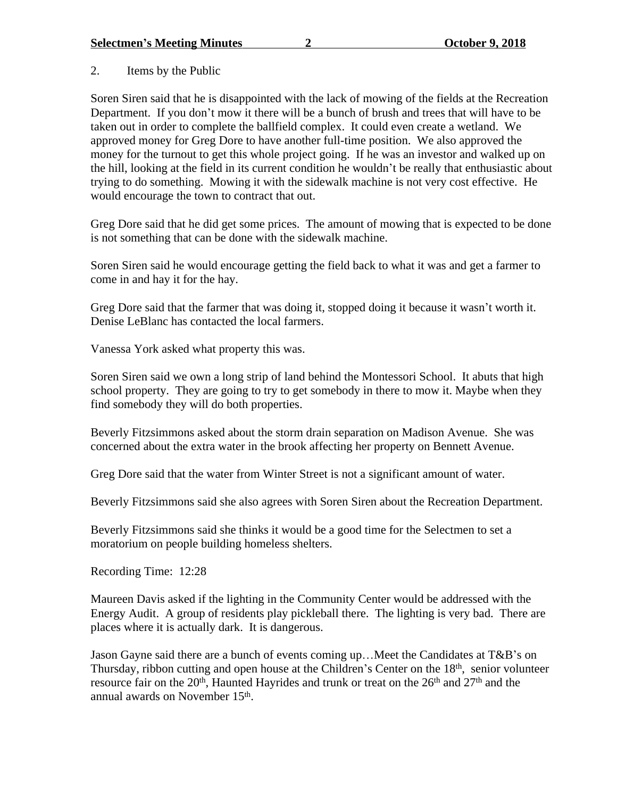2. Items by the Public

Soren Siren said that he is disappointed with the lack of mowing of the fields at the Recreation Department. If you don't mow it there will be a bunch of brush and trees that will have to be taken out in order to complete the ballfield complex. It could even create a wetland. We approved money for Greg Dore to have another full-time position. We also approved the money for the turnout to get this whole project going. If he was an investor and walked up on the hill, looking at the field in its current condition he wouldn't be really that enthusiastic about trying to do something. Mowing it with the sidewalk machine is not very cost effective. He would encourage the town to contract that out.

Greg Dore said that he did get some prices. The amount of mowing that is expected to be done is not something that can be done with the sidewalk machine.

Soren Siren said he would encourage getting the field back to what it was and get a farmer to come in and hay it for the hay.

Greg Dore said that the farmer that was doing it, stopped doing it because it wasn't worth it. Denise LeBlanc has contacted the local farmers.

Vanessa York asked what property this was.

Soren Siren said we own a long strip of land behind the Montessori School. It abuts that high school property. They are going to try to get somebody in there to mow it. Maybe when they find somebody they will do both properties.

Beverly Fitzsimmons asked about the storm drain separation on Madison Avenue. She was concerned about the extra water in the brook affecting her property on Bennett Avenue.

Greg Dore said that the water from Winter Street is not a significant amount of water.

Beverly Fitzsimmons said she also agrees with Soren Siren about the Recreation Department.

Beverly Fitzsimmons said she thinks it would be a good time for the Selectmen to set a moratorium on people building homeless shelters.

Recording Time: 12:28

Maureen Davis asked if the lighting in the Community Center would be addressed with the Energy Audit. A group of residents play pickleball there. The lighting is very bad. There are places where it is actually dark. It is dangerous.

Jason Gayne said there are a bunch of events coming up…Meet the Candidates at T&B's on Thursday, ribbon cutting and open house at the Children's Center on the 18<sup>th</sup>, senior volunteer resource fair on the 20<sup>th</sup>, Haunted Hayrides and trunk or treat on the  $26<sup>th</sup>$  and  $27<sup>th</sup>$  and the annual awards on November 15<sup>th</sup>.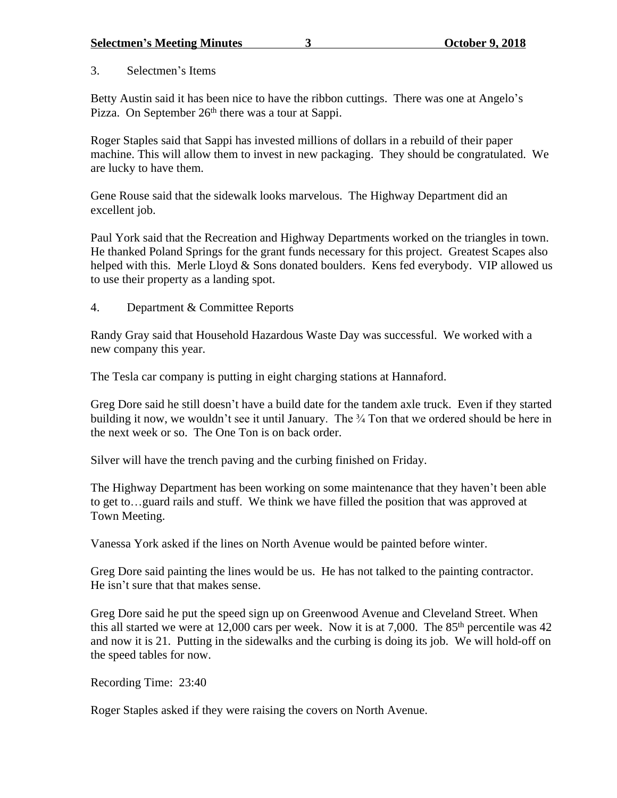# 3. Selectmen's Items

Betty Austin said it has been nice to have the ribbon cuttings. There was one at Angelo's Pizza. On September 26<sup>th</sup> there was a tour at Sappi.

Roger Staples said that Sappi has invested millions of dollars in a rebuild of their paper machine. This will allow them to invest in new packaging. They should be congratulated. We are lucky to have them.

Gene Rouse said that the sidewalk looks marvelous. The Highway Department did an excellent job.

Paul York said that the Recreation and Highway Departments worked on the triangles in town. He thanked Poland Springs for the grant funds necessary for this project. Greatest Scapes also helped with this. Merle Lloyd & Sons donated boulders. Kens fed everybody. VIP allowed us to use their property as a landing spot.

4. Department & Committee Reports

Randy Gray said that Household Hazardous Waste Day was successful. We worked with a new company this year.

The Tesla car company is putting in eight charging stations at Hannaford.

Greg Dore said he still doesn't have a build date for the tandem axle truck. Even if they started building it now, we wouldn't see it until January. The  $\frac{3}{4}$  Ton that we ordered should be here in the next week or so. The One Ton is on back order.

Silver will have the trench paving and the curbing finished on Friday.

The Highway Department has been working on some maintenance that they haven't been able to get to…guard rails and stuff. We think we have filled the position that was approved at Town Meeting.

Vanessa York asked if the lines on North Avenue would be painted before winter.

Greg Dore said painting the lines would be us. He has not talked to the painting contractor. He isn't sure that that makes sense.

Greg Dore said he put the speed sign up on Greenwood Avenue and Cleveland Street. When this all started we were at 12,000 cars per week. Now it is at 7,000. The  $85<sup>th</sup>$  percentile was 42 and now it is 21. Putting in the sidewalks and the curbing is doing its job. We will hold-off on the speed tables for now.

Recording Time: 23:40

Roger Staples asked if they were raising the covers on North Avenue.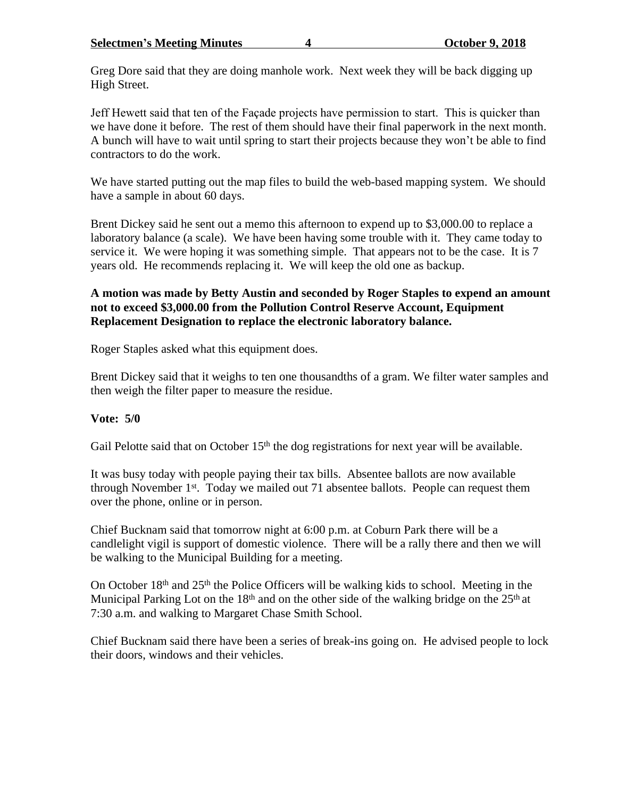Greg Dore said that they are doing manhole work. Next week they will be back digging up High Street.

Jeff Hewett said that ten of the Façade projects have permission to start. This is quicker than we have done it before. The rest of them should have their final paperwork in the next month. A bunch will have to wait until spring to start their projects because they won't be able to find contractors to do the work.

We have started putting out the map files to build the web-based mapping system. We should have a sample in about 60 days.

Brent Dickey said he sent out a memo this afternoon to expend up to \$3,000.00 to replace a laboratory balance (a scale). We have been having some trouble with it. They came today to service it. We were hoping it was something simple. That appears not to be the case. It is 7 years old. He recommends replacing it. We will keep the old one as backup.

# **A motion was made by Betty Austin and seconded by Roger Staples to expend an amount not to exceed \$3,000.00 from the Pollution Control Reserve Account, Equipment Replacement Designation to replace the electronic laboratory balance.**

Roger Staples asked what this equipment does.

Brent Dickey said that it weighs to ten one thousandths of a gram. We filter water samples and then weigh the filter paper to measure the residue.

# **Vote: 5/0**

Gail Pelotte said that on October  $15<sup>th</sup>$  the dog registrations for next year will be available.

It was busy today with people paying their tax bills. Absentee ballots are now available through November 1st. Today we mailed out 71 absentee ballots. People can request them over the phone, online or in person.

Chief Bucknam said that tomorrow night at 6:00 p.m. at Coburn Park there will be a candlelight vigil is support of domestic violence. There will be a rally there and then we will be walking to the Municipal Building for a meeting.

On October  $18<sup>th</sup>$  and  $25<sup>th</sup>$  the Police Officers will be walking kids to school. Meeting in the Municipal Parking Lot on the 18<sup>th</sup> and on the other side of the walking bridge on the 25<sup>th</sup> at 7:30 a.m. and walking to Margaret Chase Smith School.

Chief Bucknam said there have been a series of break-ins going on. He advised people to lock their doors, windows and their vehicles.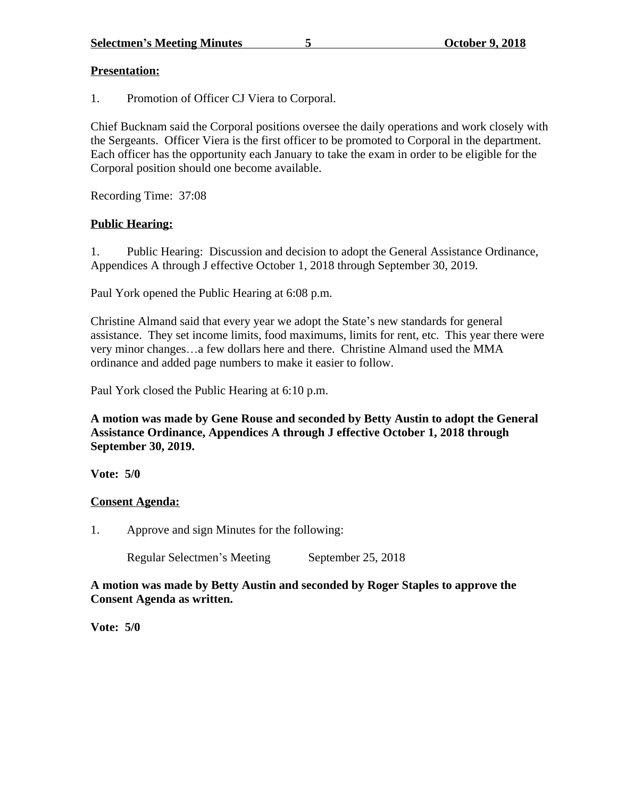### **Presentation:**

1. Promotion of Officer CJ Viera to Corporal.

Chief Bucknam said the Corporal positions oversee the daily operations and work closely with the Sergeants. Officer Viera is the first officer to be promoted to Corporal in the department. Each officer has the opportunity each January to take the exam in order to be eligible for the Corporal position should one become available.

Recording Time: 37:08

# **Public Hearing:**

1. Public Hearing: Discussion and decision to adopt the General Assistance Ordinance, Appendices A through J effective October 1, 2018 through September 30, 2019.

Paul York opened the Public Hearing at 6:08 p.m.

Christine Almand said that every year we adopt the State's new standards for general assistance. They set income limits, food maximums, limits for rent, etc. This year there were very minor changes…a few dollars here and there. Christine Almand used the MMA ordinance and added page numbers to make it easier to follow.

Paul York closed the Public Hearing at 6:10 p.m.

**A motion was made by Gene Rouse and seconded by Betty Austin to adopt the General Assistance Ordinance, Appendices A through J effective October 1, 2018 through September 30, 2019.**

**Vote: 5/0**

# **Consent Agenda:**

1. Approve and sign Minutes for the following:

Regular Selectmen's Meeting September 25, 2018

**A motion was made by Betty Austin and seconded by Roger Staples to approve the Consent Agenda as written.**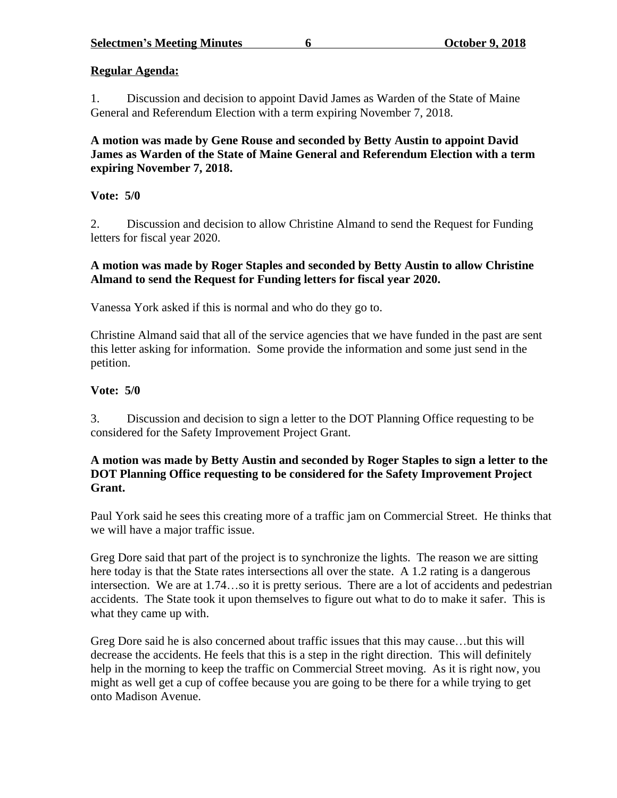# **Regular Agenda:**

1. Discussion and decision to appoint David James as Warden of the State of Maine General and Referendum Election with a term expiring November 7, 2018.

### **A motion was made by Gene Rouse and seconded by Betty Austin to appoint David James as Warden of the State of Maine General and Referendum Election with a term expiring November 7, 2018.**

# **Vote: 5/0**

2. Discussion and decision to allow Christine Almand to send the Request for Funding letters for fiscal year 2020.

# **A motion was made by Roger Staples and seconded by Betty Austin to allow Christine Almand to send the Request for Funding letters for fiscal year 2020.**

Vanessa York asked if this is normal and who do they go to.

Christine Almand said that all of the service agencies that we have funded in the past are sent this letter asking for information. Some provide the information and some just send in the petition.

# **Vote: 5/0**

3. Discussion and decision to sign a letter to the DOT Planning Office requesting to be considered for the Safety Improvement Project Grant.

# **A motion was made by Betty Austin and seconded by Roger Staples to sign a letter to the DOT Planning Office requesting to be considered for the Safety Improvement Project Grant.**

Paul York said he sees this creating more of a traffic jam on Commercial Street. He thinks that we will have a major traffic issue.

Greg Dore said that part of the project is to synchronize the lights. The reason we are sitting here today is that the State rates intersections all over the state. A 1.2 rating is a dangerous intersection. We are at 1.74…so it is pretty serious. There are a lot of accidents and pedestrian accidents. The State took it upon themselves to figure out what to do to make it safer. This is what they came up with.

Greg Dore said he is also concerned about traffic issues that this may cause…but this will decrease the accidents. He feels that this is a step in the right direction. This will definitely help in the morning to keep the traffic on Commercial Street moving. As it is right now, you might as well get a cup of coffee because you are going to be there for a while trying to get onto Madison Avenue.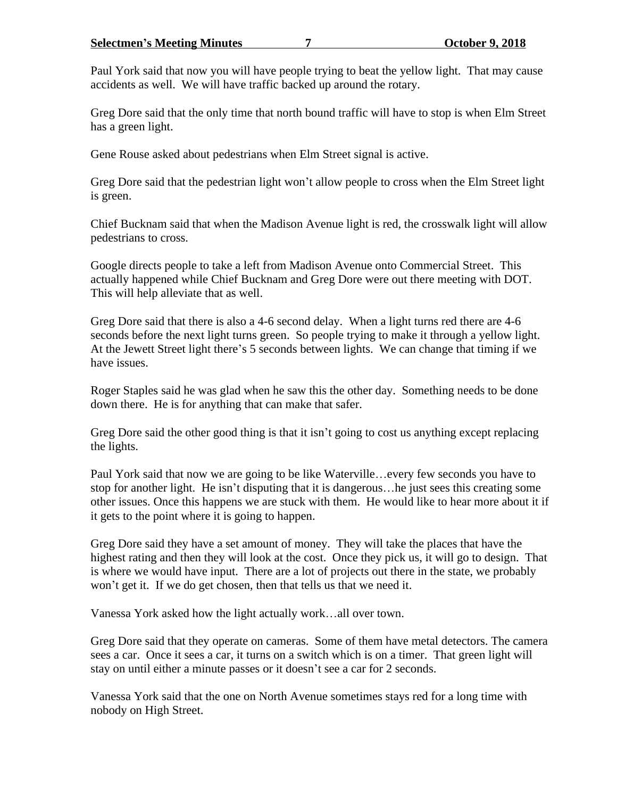#### **Selectmen's Meeting Minutes 7 October 9, 2018**

Paul York said that now you will have people trying to beat the yellow light. That may cause accidents as well. We will have traffic backed up around the rotary.

Greg Dore said that the only time that north bound traffic will have to stop is when Elm Street has a green light.

Gene Rouse asked about pedestrians when Elm Street signal is active.

Greg Dore said that the pedestrian light won't allow people to cross when the Elm Street light is green.

Chief Bucknam said that when the Madison Avenue light is red, the crosswalk light will allow pedestrians to cross.

Google directs people to take a left from Madison Avenue onto Commercial Street. This actually happened while Chief Bucknam and Greg Dore were out there meeting with DOT. This will help alleviate that as well.

Greg Dore said that there is also a 4-6 second delay. When a light turns red there are 4-6 seconds before the next light turns green. So people trying to make it through a yellow light. At the Jewett Street light there's 5 seconds between lights. We can change that timing if we have issues.

Roger Staples said he was glad when he saw this the other day. Something needs to be done down there. He is for anything that can make that safer.

Greg Dore said the other good thing is that it isn't going to cost us anything except replacing the lights.

Paul York said that now we are going to be like Waterville…every few seconds you have to stop for another light. He isn't disputing that it is dangerous…he just sees this creating some other issues. Once this happens we are stuck with them. He would like to hear more about it if it gets to the point where it is going to happen.

Greg Dore said they have a set amount of money. They will take the places that have the highest rating and then they will look at the cost. Once they pick us, it will go to design. That is where we would have input. There are a lot of projects out there in the state, we probably won't get it. If we do get chosen, then that tells us that we need it.

Vanessa York asked how the light actually work…all over town.

Greg Dore said that they operate on cameras. Some of them have metal detectors. The camera sees a car. Once it sees a car, it turns on a switch which is on a timer. That green light will stay on until either a minute passes or it doesn't see a car for 2 seconds.

Vanessa York said that the one on North Avenue sometimes stays red for a long time with nobody on High Street.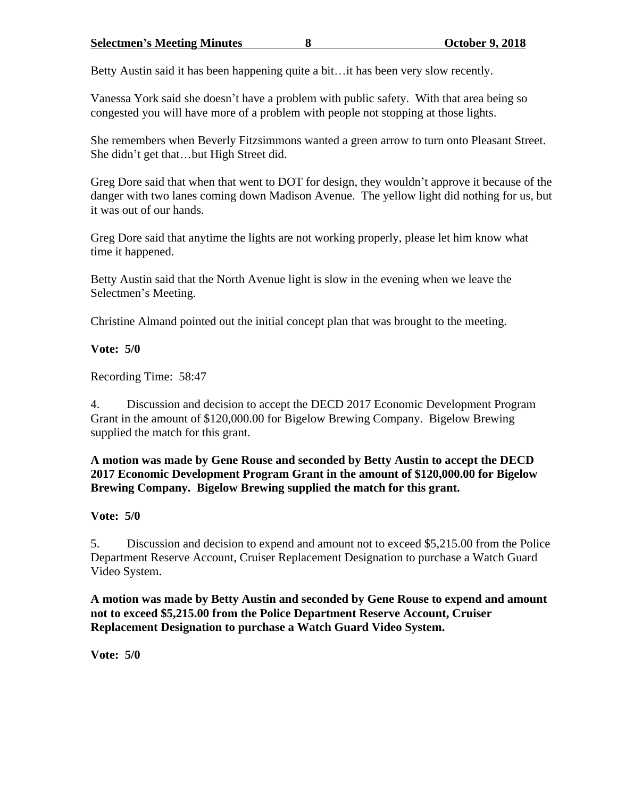Betty Austin said it has been happening quite a bit…it has been very slow recently.

Vanessa York said she doesn't have a problem with public safety. With that area being so congested you will have more of a problem with people not stopping at those lights.

She remembers when Beverly Fitzsimmons wanted a green arrow to turn onto Pleasant Street. She didn't get that…but High Street did.

Greg Dore said that when that went to DOT for design, they wouldn't approve it because of the danger with two lanes coming down Madison Avenue. The yellow light did nothing for us, but it was out of our hands.

Greg Dore said that anytime the lights are not working properly, please let him know what time it happened.

Betty Austin said that the North Avenue light is slow in the evening when we leave the Selectmen's Meeting.

Christine Almand pointed out the initial concept plan that was brought to the meeting.

# **Vote: 5/0**

Recording Time: 58:47

4. Discussion and decision to accept the DECD 2017 Economic Development Program Grant in the amount of \$120,000.00 for Bigelow Brewing Company. Bigelow Brewing supplied the match for this grant.

# **A motion was made by Gene Rouse and seconded by Betty Austin to accept the DECD 2017 Economic Development Program Grant in the amount of \$120,000.00 for Bigelow Brewing Company. Bigelow Brewing supplied the match for this grant.**

# **Vote: 5/0**

5. Discussion and decision to expend and amount not to exceed \$5,215.00 from the Police Department Reserve Account, Cruiser Replacement Designation to purchase a Watch Guard Video System.

**A motion was made by Betty Austin and seconded by Gene Rouse to expend and amount not to exceed \$5,215.00 from the Police Department Reserve Account, Cruiser Replacement Designation to purchase a Watch Guard Video System.**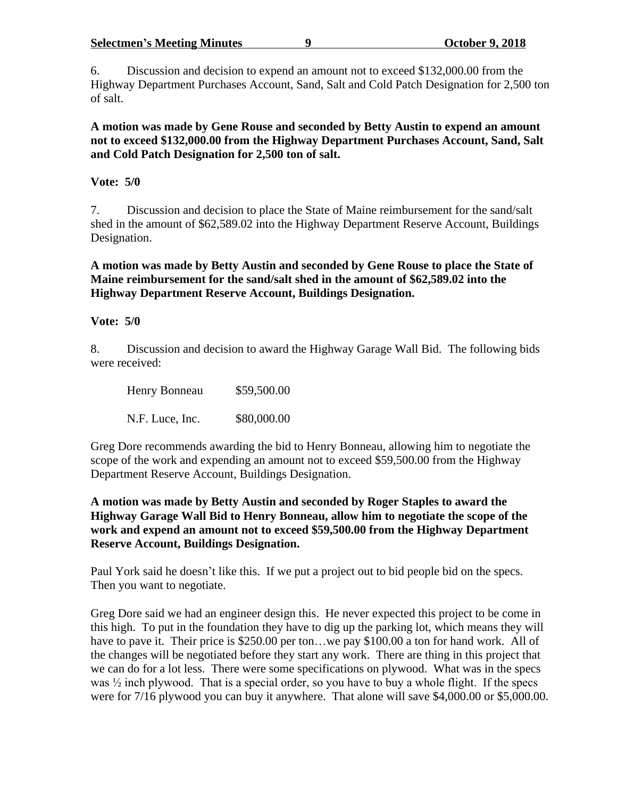#### **Selectmen's Meeting Minutes 9 October 9, 2018**

6. Discussion and decision to expend an amount not to exceed \$132,000.00 from the Highway Department Purchases Account, Sand, Salt and Cold Patch Designation for 2,500 ton of salt.

**A motion was made by Gene Rouse and seconded by Betty Austin to expend an amount not to exceed \$132,000.00 from the Highway Department Purchases Account, Sand, Salt and Cold Patch Designation for 2,500 ton of salt.**

### **Vote: 5/0**

7. Discussion and decision to place the State of Maine reimbursement for the sand/salt shed in the amount of \$62,589.02 into the Highway Department Reserve Account, Buildings Designation.

**A motion was made by Betty Austin and seconded by Gene Rouse to place the State of Maine reimbursement for the sand/salt shed in the amount of \$62,589.02 into the Highway Department Reserve Account, Buildings Designation.**

### **Vote: 5/0**

8. Discussion and decision to award the Highway Garage Wall Bid. The following bids were received:

| Henry Bonneau   | \$59,500.00 |
|-----------------|-------------|
| N.F. Luce, Inc. | \$80,000.00 |

Greg Dore recommends awarding the bid to Henry Bonneau, allowing him to negotiate the scope of the work and expending an amount not to exceed \$59,500.00 from the Highway Department Reserve Account, Buildings Designation.

**A motion was made by Betty Austin and seconded by Roger Staples to award the Highway Garage Wall Bid to Henry Bonneau, allow him to negotiate the scope of the work and expend an amount not to exceed \$59,500.00 from the Highway Department Reserve Account, Buildings Designation.**

Paul York said he doesn't like this. If we put a project out to bid people bid on the specs. Then you want to negotiate.

Greg Dore said we had an engineer design this. He never expected this project to be come in this high. To put in the foundation they have to dig up the parking lot, which means they will have to pave it. Their price is \$250.00 per ton...we pay \$100.00 a ton for hand work. All of the changes will be negotiated before they start any work. There are thing in this project that we can do for a lot less. There were some specifications on plywood. What was in the specs was  $\frac{1}{2}$  inch plywood. That is a special order, so you have to buy a whole flight. If the specs were for 7/16 plywood you can buy it anywhere. That alone will save \$4,000.00 or \$5,000.00.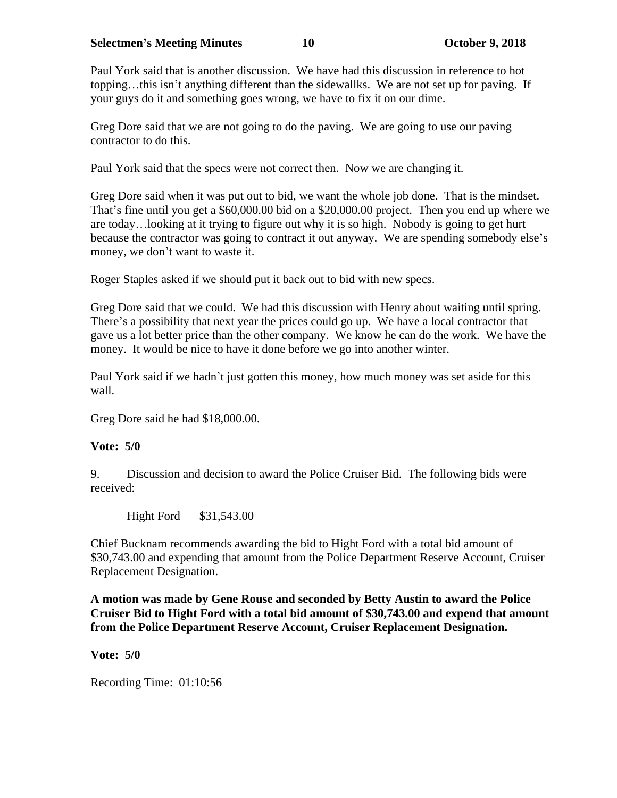**Selectmen's Meeting Minutes 10 October 9, 2018**

Paul York said that is another discussion. We have had this discussion in reference to hot topping…this isn't anything different than the sidewallks. We are not set up for paving. If your guys do it and something goes wrong, we have to fix it on our dime.

Greg Dore said that we are not going to do the paving. We are going to use our paving contractor to do this.

Paul York said that the specs were not correct then. Now we are changing it.

Greg Dore said when it was put out to bid, we want the whole job done. That is the mindset. That's fine until you get a \$60,000.00 bid on a \$20,000.00 project. Then you end up where we are today…looking at it trying to figure out why it is so high. Nobody is going to get hurt because the contractor was going to contract it out anyway. We are spending somebody else's money, we don't want to waste it.

Roger Staples asked if we should put it back out to bid with new specs.

Greg Dore said that we could. We had this discussion with Henry about waiting until spring. There's a possibility that next year the prices could go up. We have a local contractor that gave us a lot better price than the other company. We know he can do the work. We have the money. It would be nice to have it done before we go into another winter.

Paul York said if we hadn't just gotten this money, how much money was set aside for this wall.

Greg Dore said he had \$18,000.00.

# **Vote: 5/0**

9. Discussion and decision to award the Police Cruiser Bid. The following bids were received:

Hight Ford \$31,543.00

Chief Bucknam recommends awarding the bid to Hight Ford with a total bid amount of \$30,743.00 and expending that amount from the Police Department Reserve Account, Cruiser Replacement Designation.

**A motion was made by Gene Rouse and seconded by Betty Austin to award the Police Cruiser Bid to Hight Ford with a total bid amount of \$30,743.00 and expend that amount from the Police Department Reserve Account, Cruiser Replacement Designation.**

**Vote: 5/0**

Recording Time: 01:10:56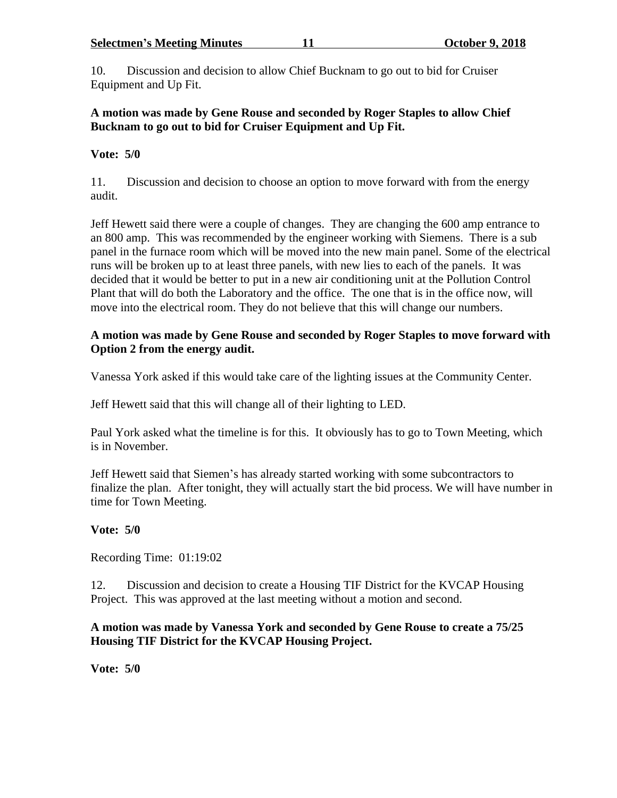#### **Selectmen's Meeting Minutes 11 October 9, 2018**

10. Discussion and decision to allow Chief Bucknam to go out to bid for Cruiser Equipment and Up Fit.

# **A motion was made by Gene Rouse and seconded by Roger Staples to allow Chief Bucknam to go out to bid for Cruiser Equipment and Up Fit.**

### **Vote: 5/0**

11. Discussion and decision to choose an option to move forward with from the energy audit.

Jeff Hewett said there were a couple of changes. They are changing the 600 amp entrance to an 800 amp. This was recommended by the engineer working with Siemens. There is a sub panel in the furnace room which will be moved into the new main panel. Some of the electrical runs will be broken up to at least three panels, with new lies to each of the panels. It was decided that it would be better to put in a new air conditioning unit at the Pollution Control Plant that will do both the Laboratory and the office. The one that is in the office now, will move into the electrical room. They do not believe that this will change our numbers.

### **A motion was made by Gene Rouse and seconded by Roger Staples to move forward with Option 2 from the energy audit.**

Vanessa York asked if this would take care of the lighting issues at the Community Center.

Jeff Hewett said that this will change all of their lighting to LED.

Paul York asked what the timeline is for this. It obviously has to go to Town Meeting, which is in November.

Jeff Hewett said that Siemen's has already started working with some subcontractors to finalize the plan. After tonight, they will actually start the bid process. We will have number in time for Town Meeting.

# **Vote: 5/0**

Recording Time: 01:19:02

12. Discussion and decision to create a Housing TIF District for the KVCAP Housing Project. This was approved at the last meeting without a motion and second.

### **A motion was made by Vanessa York and seconded by Gene Rouse to create a 75/25 Housing TIF District for the KVCAP Housing Project.**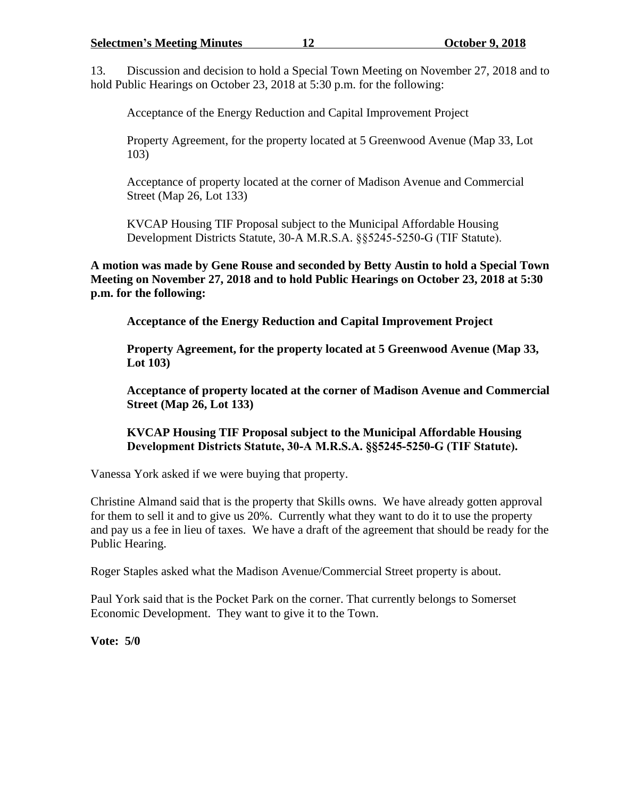13. Discussion and decision to hold a Special Town Meeting on November 27, 2018 and to hold Public Hearings on October 23, 2018 at 5:30 p.m. for the following:

Acceptance of the Energy Reduction and Capital Improvement Project

Property Agreement, for the property located at 5 Greenwood Avenue (Map 33, Lot 103)

Acceptance of property located at the corner of Madison Avenue and Commercial Street (Map 26, Lot 133)

KVCAP Housing TIF Proposal subject to the Municipal Affordable Housing Development Districts Statute, 30-A M.R.S.A. §§5245-5250-G (TIF Statute).

**A motion was made by Gene Rouse and seconded by Betty Austin to hold a Special Town Meeting on November 27, 2018 and to hold Public Hearings on October 23, 2018 at 5:30 p.m. for the following:**

**Acceptance of the Energy Reduction and Capital Improvement Project**

**Property Agreement, for the property located at 5 Greenwood Avenue (Map 33, Lot 103)**

**Acceptance of property located at the corner of Madison Avenue and Commercial Street (Map 26, Lot 133)**

**KVCAP Housing TIF Proposal subject to the Municipal Affordable Housing Development Districts Statute, 30-A M.R.S.A. §§5245-5250-G (TIF Statute).**

Vanessa York asked if we were buying that property.

Christine Almand said that is the property that Skills owns. We have already gotten approval for them to sell it and to give us 20%. Currently what they want to do it to use the property and pay us a fee in lieu of taxes. We have a draft of the agreement that should be ready for the Public Hearing.

Roger Staples asked what the Madison Avenue/Commercial Street property is about.

Paul York said that is the Pocket Park on the corner. That currently belongs to Somerset Economic Development. They want to give it to the Town.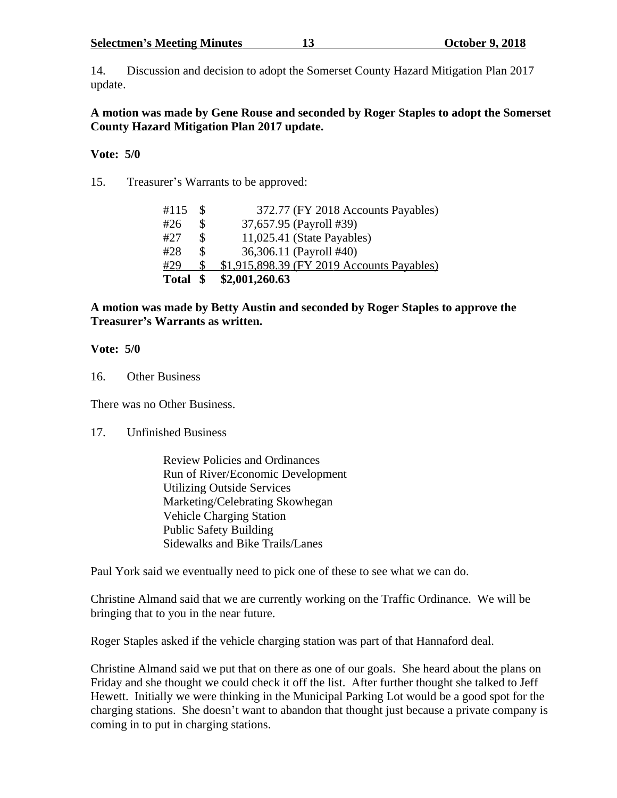**Selectmen's Meeting Minutes 13 October 9, 2018**

14. Discussion and decision to adopt the Somerset County Hazard Mitigation Plan 2017 update.

### **A motion was made by Gene Rouse and seconded by Roger Staples to adopt the Somerset County Hazard Mitigation Plan 2017 update.**

### **Vote: 5/0**

15. Treasurer's Warrants to be approved:

| #115     |   | 372.77 (FY 2018 Accounts Payables)         |
|----------|---|--------------------------------------------|
| #26      |   | 37,657.95 (Payroll #39)                    |
| #27      |   | $11,025.41$ (State Payables)               |
| #28      | S | 36,306.11 (Payroll #40)                    |
| #29      |   | \$1,915,898.39 (FY 2019 Accounts Payables) |
| Total \$ |   | \$2,001,260.63                             |

### **A motion was made by Betty Austin and seconded by Roger Staples to approve the Treasurer's Warrants as written.**

# **Vote: 5/0**

16. Other Business

There was no Other Business.

# 17. Unfinished Business

Review Policies and Ordinances Run of River/Economic Development Utilizing Outside Services Marketing/Celebrating Skowhegan Vehicle Charging Station Public Safety Building Sidewalks and Bike Trails/Lanes

Paul York said we eventually need to pick one of these to see what we can do.

Christine Almand said that we are currently working on the Traffic Ordinance. We will be bringing that to you in the near future.

Roger Staples asked if the vehicle charging station was part of that Hannaford deal.

Christine Almand said we put that on there as one of our goals. She heard about the plans on Friday and she thought we could check it off the list. After further thought she talked to Jeff Hewett. Initially we were thinking in the Municipal Parking Lot would be a good spot for the charging stations. She doesn't want to abandon that thought just because a private company is coming in to put in charging stations.